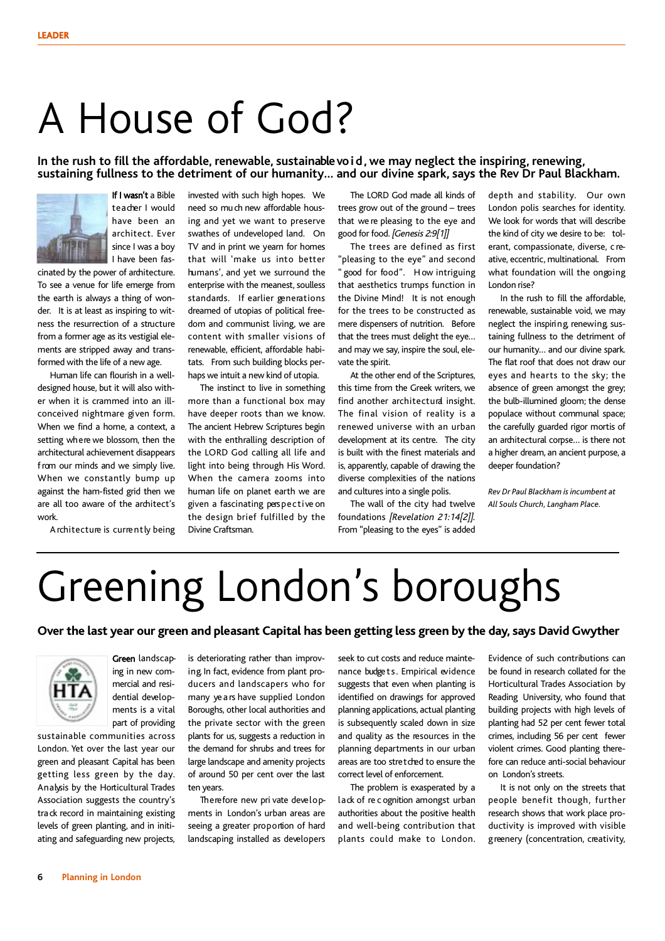### A House of God?

#### **In the rush to fill the affordable, renewable, sustainablevoid, we may neglect the inspiring, renewing, sustaining fullness to the detriment of our humanity… and our divine spark, says the Rev Dr Paul Blackham.**



If I wasn't a Bible teacher I would have been an architect. Ever since I was a boy I have been fas-

cinated by the power of architecture. To see a venue for life emerge from the earth is always a thing of wonder. It is at least as inspiring to witness the resurrection of a structure from a former age as its vestigial elements are stripped away and transformed with the life of a new age.

Human life can flourish in a welldesigned house, but it will also wither when it is crammed into an illconceived nightmare given form. When we find a home, a context, a setting where we blossom, then the architectural achievement disappears from our minds and we simply live. When we constantly bump up against the ham-fisted grid then we are all too aware of the architect's work.

Architecture is currently being

invested with such high hopes. We need so much new affordable housing and yet we want to preserve swathes of undeveloped land. On TV and in print we yearn for homes that will 'make us into better humans', and yet we surround the enterprise with the meanest, soulless standards. If earlier generations dreamed of utopias of political freedom and communist living, we are content with smaller visions of renewable, efficient, affordable habitats. From such building blocks perhaps we intuit a new kind of utopia.

The instinct to live in something more than a functional box may have deeper roots than we know. The ancient Hebrew Scriptures begin with the enthralling description of the LORD God calling all life and light into being through His Word. When the camera zooms into human life on planet earth we are given a fascinating perspective on the design brief fulfilled by the Divine Craftsman.

The LORD God made all kinds of trees grow out of the ground – trees that we re pleasing to the eye and good for food. [Genesis 2:9[1]]

The trees are defined as first "pleasing to the eye" and second " good for food". How intriguing that aesthetics trumps function in the Divine Mind! It is not enough for the trees to be constructed as mere dispensers of nutrition. Before that the trees must delight the eye… and may we say, inspire the soul, elevate the spirit.

At the other end of the Scriptures, this time from the Greek writers, we find another architectural insight. The final vision of reality is a renewed universe with an urban development at its centre. The city is built with the finest materials and is, apparently, capable of drawing the diverse complexities of the nations and cultures into a single polis.

The wall of the city had twelve foundations [Revelation 21:14[2]]. From "pleasing to the eyes" is added

depth and stability. Our own London polis searches for identity. We look for words that will describe the kind of city we desire to be: tolerant, compassionate, diverse, c reative, eccentric, multinational. From what foundation will the ongoing London rise?

In the rush to fill the affordable, renewable, sustainable void, we may neglect the inspiring, renewing, sustaining fullness to the detriment of our humanity… and our divine spark. The flat roof that does not draw our eyes and hearts to the sky; the absence of green amongst the grey; the bulb-illumined gloom; the dense populace without communal space; the carefully guarded rigor mortis of an architectural corpse... is there not a higher dream, an ancient purpose, a deeper foundation?

*Rev Dr Paul Blackham is incumbent at All Souls Church,Langham Place.*

# Greening London's boroughs

#### **Over the last year our green and pleasant Capital has been getting less green by the day, says David Gwyther**



Green landscaping in new commercial and residential developments is a vital part of providing

sustainable communities across London. Yet over the last year our green and pleasant Capital has been getting less green by the day. Analysis by the Horticultural Trades Association suggests the country's tra ck record in maintaining existing levels of green planting, and in initiating and safeguarding new projects,

is deteriorating rather than improving. In fact, evidence from plant producers and landscapers who for many ye a rs have supplied London Boroughs, other local authorities and the private sector with the green plants for us, suggests a reduction in the demand for shrubs and trees for large landscape and amenity projects of around 50 per cent over the last ten years.

Therefore new pri vate developments in London's urban areas are seeing a greater proportion of hard landscaping installed as developers

seek to cut costs and reduce maintenance budge ts. Empirical evidence suggests that even when planting is identified on drawings for approved planning applications, actual planting is subsequently scaled down in size and quality as the resources in the planning departments in our urban areas are too stretched to ensure the correct level of enforcement.

The problem is exasperated by a lack of re c ognition amongst urban authorities about the positive health and well-being contribution that plants could make to London. Evidence of such contributions can be found in research collated for the Horticultural Trades Association by Reading University, who found that building projects with high levels of planting had 52 per cent fewer total crimes, including 56 per cent fewer violent crimes. Good planting therefore can reduce anti-social behaviour on London's streets.

It is not only on the streets that people benefit though, further research shows that work place productivity is improved with visible g reenery (concentration, creativity,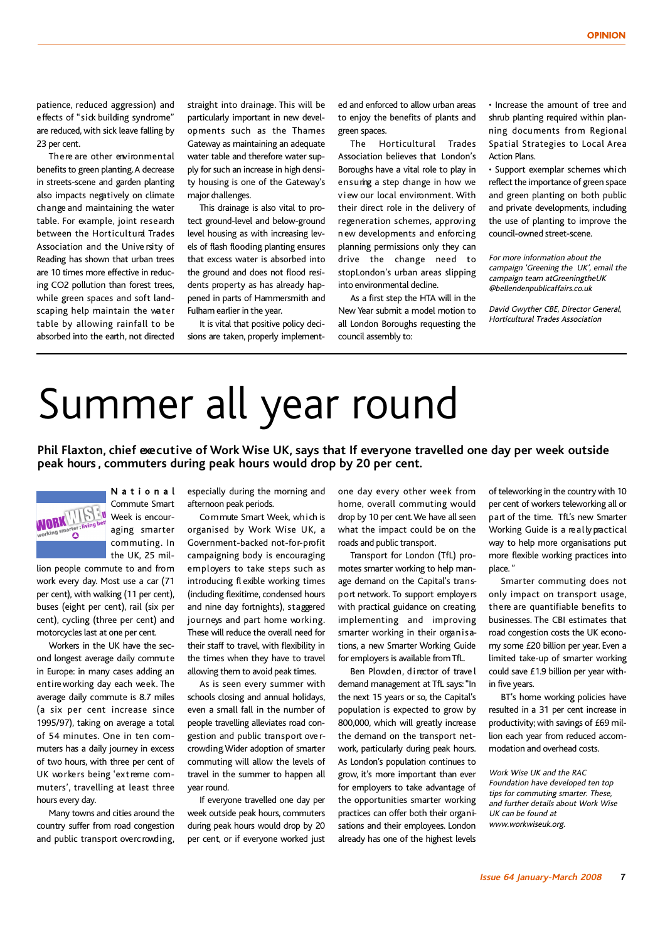patience, reduced aggression) and effects of "sick building syndrome" are reduced, with sick leave falling by 23 per cent.

There are other environmental benefits to green planting.A decrease in streets-scene and garden planting also impacts negatively on climate change and maintaining the water table. For example, joint research between the Horticultural Trades Association and the Unive rsity of Reading has shown that urban trees are 10 times more effective in reducing CO2 pollution than forest trees, while green spaces and soft landscaping help maintain the water table by allowing rainfall to be absorbed into the earth, not directed

straight into drainage. This will be particularly important in new developments such as the Thames Gateway as maintaining an adequate water table and therefore water supply for such an increase in high density housing is one of the Gateway's major challenges.

This drainage is also vital to protect ground-level and below-ground level housing as with increasing levels of flash flooding, planting ensures that excess water is absorbed into the ground and does not flood residents property as has already happened in parts of Hammersmith and Fulham earlier in the year.

It is vital that positive policy decisions are taken, properly implement-

ed and enforced to allow urban areas to enjoy the benefits of plants and green spaces.

The Horticultural Trades Association believes that London's Boroughs have a vital role to play in ensuring a step change in how we v iew our local environment. With their direct role in the delivery of regeneration schemes, approving n ew developments and enforcing planning permissions only they can drive the change need to stopLondon's urban areas slipping into environmental decline.

As a first step the HTA will in the New Year submit a model motion to all London Boroughs requesting the council assembly to:

• Increase the amount of tree and shrub planting required within planning documents from Regional Spatial Strategies to Local Area Action Plans.

• Support exemplar schemes which reflect the importance of green space and green planting on both public and private developments, including the use of planting to improve the council-owned street-scene.

For more information about the campaign 'Greening the UK', email the campaign team atGreeningtheUK @bellendenpublicaffairs.co.uk

David Gwyther CBE, Director General, Horticultural Trades Association

### Summer all year round

**Phil Flaxton, chief executive of Work Wise UK, says that If everyone travelled one day per week outside peak hours , commuters during peak hours would drop by 20 per cent.**



N a t i o n a l Commute Smart Week is encouraging smarter commuting. In the UK, 25 mil-

lion people commute to and from work every day. Most use a car (71 per cent), with walking (11 per cent), buses (eight per cent), rail (six per cent), cycling (three per cent) and motorcycles last at one per cent.

Workers in the UK have the second longest average daily commute in Europe: in many cases adding an entireworking day each week. The average daily commute is 8.7 miles (a six per cent increase since 1995/97), taking on average a total of 54 minutes. One in ten commuters has a daily journey in excess of two hours, with three per cent of UK workers being 'extreme commuters', travelling at least three hours every day.

Many towns and cities around the country suffer from road congestion and public transport overc rowding,

especially during the morning and afternoon peak periods.

Commute Smart Week, which is organised by Work Wise UK, a Government-backed not-for-profit campaigning body is encouraging employers to take steps such as introducing fl exible working times (including flexitime, condensed hours and nine day fortnights), staggered journeys and part home working. These will reduce the overall need for their staff to travel, with flexibility in the times when they have to travel allowing them to avoid peak times.

As is seen every summer with schools closing and annual holidays, even a small fall in the number of people travelling alleviates road congestion and public transport ove rcrowding.Wider adoption of smarter commuting will allow the levels of travel in the summer to happen all year round.

If everyone travelled one day per week outside peak hours, commuters during peak hours would drop by 20 per cent, or if everyone worked just one day every other week from home, overall commuting would drop by 10 per cent.We have all seen what the impact could be on the roads and public transport.

Transport for London (TfL) promotes smarter working to help manage demand on the Capital's transport network. To support employers with practical guidance on creating, implementing and improving smarter working in their organisations, a new Smarter Working Guide for employers is available fromTfL.

Ben Plowden, director of trave l demand management at TfL says:"In the next 15 years or so, the Capital's population is expected to grow by 800,000, which will greatly increase the demand on the transport network, particularly during peak hours. As London's population continues to grow, it's more important than ever for employers to take advantage of the opportunities smarter working practices can offer both their organisations and their employees. London already has one of the highest levels

of teleworking in the country with 10 per cent of workers teleworking all or part of the time. TfL's new Smarter Working Guide is a really practical way to help more organisations put more flexible working practices into place. "

Smarter commuting does not only impact on transport usage, there are quantifiable benefits to businesses. The CBI estimates that road congestion costs the UK economy some £20 billion per year. Even a limited take-up of smarter working could save £1.9 billion per year within five years.

BT's home working policies have resulted in a 31 per cent increase in productivity; with savings of £69 million each year from reduced accommodation and overhead costs.

Work Wise UK and the RAC Foundation have developed ten top tips for commuting smarter. These, and further details about Work Wise UK can be found at www.workwiseuk.org.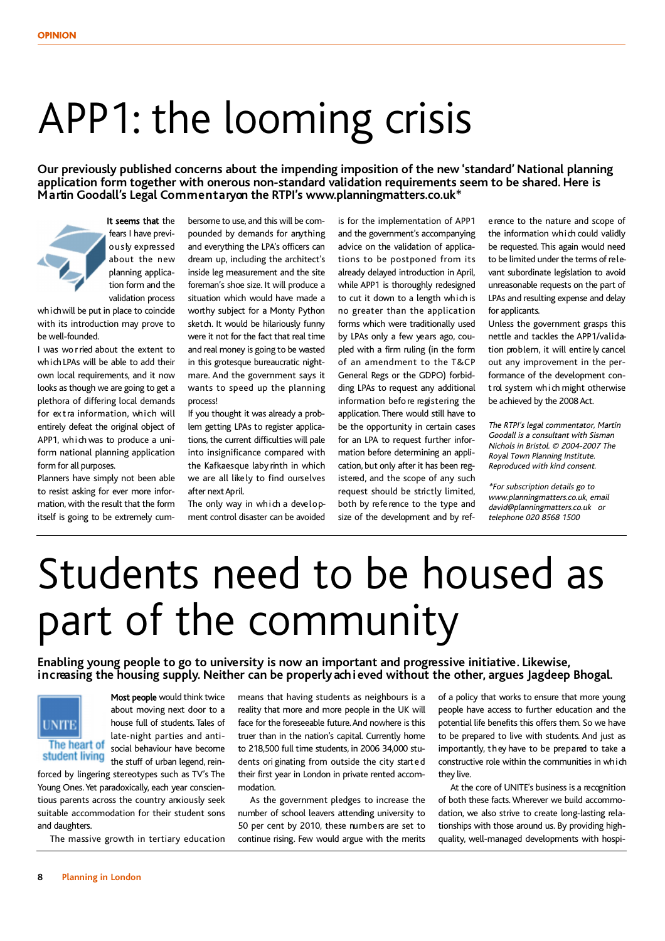## APP1: the looming crisis

**Our previously published concerns about the impending imposition of the new 'standard' National planning application form together with onerous non-standard validation requirements seem to be shared. Here is Martin Goodall's Legal Commentaryon the RTPI's www.planningmatters.co.uk\***

It seems that the

fears I have previously expressed about the new planning application form and the validation process

which will be put in place to coincide with its introduction may prove to be well-founded.

I was wo rried about the extent to which LPAs will be able to add their own local requirements, and it now looks as though we are going to get a plethora of differing local demands for ex tra information, which will entirely defeat the original object of APP1, which was to produce a uniform national planning application form for all purposes.

Planners have simply not been able to resist asking for ever more information, with the result that the form itself is going to be extremely cumbersome to use, and this will be compounded by demands for anything and everything the LPA's officers can dream up, including the architect's inside leg measurement and the site foreman's shoe size. It will produce a situation which would have made a worthy subject for a Monty Python sketch. It would be hilariously funny were it not for the fact that real time and real money is going to be wasted in this grotesque bureaucratic nightmare. And the government says it wants to speed up the planning process!

If you thought it was already a problem getting LPAs to register applications, the current difficulties will pale into insignificance compared with the Kafkaesque laby rinth in which we are all likely to find ourselves after next April.

The only way in which a development control disaster can be avoided is for the implementation of APP1 and the government's accompanying advice on the validation of applications to be postponed from its already delayed introduction in April, while APP1 is thoroughly redesigned to cut it down to a length which is no greater than the application forms which were traditionally used by LPAs only a few years ago, coupled with a firm ruling (in the form of an amendment to the T&CP General Regs or the GDPO) forbidding LPAs to request any additional information befo re registering the application. There would still have to be the opportunity in certain cases for an LPA to request further information before determining an application, but only after it has been registered, and the scope of any such request should be strictly limited, both by refe rence to the type and size of the development and by ref-

e rence to the nature and scope of the information which could validly be requested. This again would need to be limited under the terms of relevant subordinate legislation to avoid unreasonable requests on the part of LPAs and resulting expense and delay for applicants.

Unless the government grasps this nettle and tackles the APP1/validation problem, it will entire ly cancel out any improvement in the performance of the development control system which might otherwise be achieved by the 2008Act.

The RTPI's legal commentator, Martin Goodall is <sup>a</sup> consultant with Sisman Nichols in Bristol. © 2004-2007 The Royal Town Planning Institute. Reproduced with kind consent.

\*For subscription details go to www.planningmatters.co.uk, email david@planningmatters.co.uk or telephone 020 8568 1500

# Students need to be housed as part of the community

**Enabling young people to go to university is now an important and progressive initiative. Likewise, increasing the housing supply. Neither can be properlyachieved without the other, argues Jagdeep Bhogal.**



Most people would think twice about moving next door to a house full of students. Tales of late-night parties and antisocial behaviour have become the stuff of urban legend, rein-

forced by lingering stereotypes such as TV's The Young Ones. Yet paradoxically, each year conscientious parents across the country anxiously seek suitable accommodation for their student sons and daughters.

The massive growth in tertiary education

means that having students as neighbours is a reality that more and more people in the UK will face for the foreseeable future.And nowhere is this truer than in the nation's capital. Currently home to 218,500 full time students, in 2006 34,000 students ori ginating from outside the city started their first year in London in private rented accommodation.

As the government pledges to increase the number of school leavers attending university to 50 per cent by 2010, these numbers are set to continue rising. Few would argue with the merits of a policy that works to ensure that more young people have access to further education and the potential life benefits this offers them. So we have to be prepared to live with students. And just as importantly, they have to be prepared to take a constructive role within the communities in which they live.

At the core of UNITE's business is a recognition of both these facts.Wherever we build accommodation, we also strive to create long-lasting relationships with those around us. By providing highquality, well-managed developments with hospi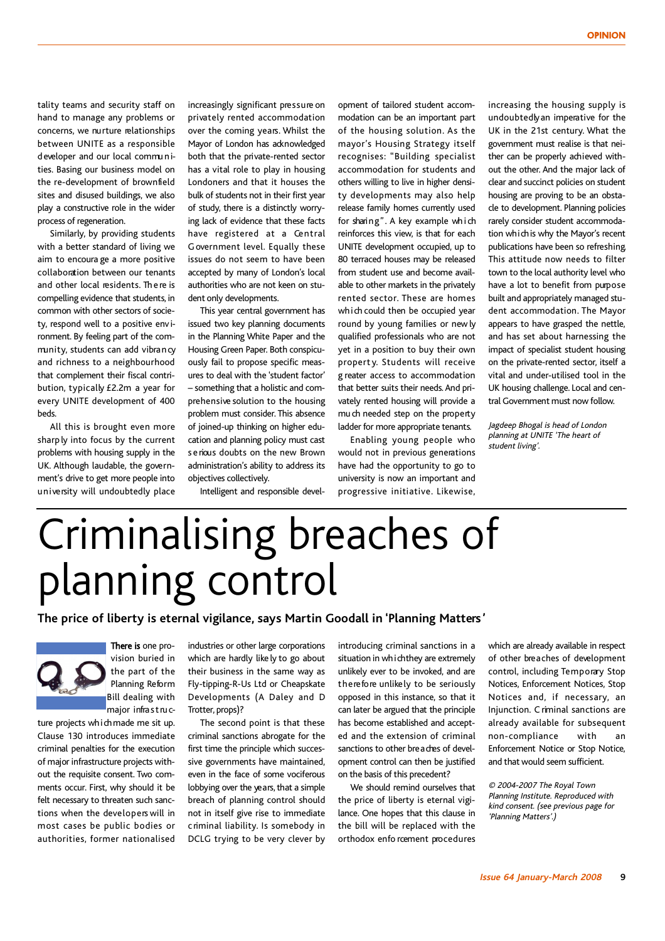tality teams and security staff on hand to manage any problems or concerns, we nurture relationships between UNITE as a responsible developer and our local communities. Basing our business model on the re-development of brownfield sites and disused buildings, we also play a constructive role in the wider process of regeneration.

Similarly, by providing students with a better standard of living we aim to encoura ge a more positive collaboration between our tenants and other local residents. Th e re is compelling evidence that students, in common with other sectors of society, respond well to a positive env ironment. By feeling part of the community, students can add vibrancy and richness to a neighbourhood that complement their fiscal contribution, typically £2.2m a year for every UNITE development of 400 beds.

All this is brought even more sharp ly into focus by the current problems with housing supply in the UK. Although laudable, the government's drive to get more people into university will undoubtedly place

increasingly significant pressure on privately rented accommodation over the coming years. Whilst the Mayor of London has acknowledged both that the private-rented sector has a vital role to play in housing Londoners and that it houses the bulk of students not in their first year of study, there is a distinctly worrying lack of evidence that these facts have registered at a Central Government level. Equally these issues do not seem to have been accepted by many of London's local authorities who are not keen on student only developments.

This year central government has issued two key planning documents in the Planning White Paper and the Housing Green Paper. Both conspicuously fail to propose specific measures to deal with the 'student factor' – something that a holistic and comprehensive solution to the housing problem must consider. This absence of joined-up thinking on higher education and planning policy must cast s e rious doubts on the new Brown administration's ability to address its objectives collectively.

Intelligent and responsible devel-

opment of tailored student accommodation can be an important part of the housing solution. As the mayor's Housing Strategy itself recognises: "Building specialist accommodation for students and others willing to live in higher density developments may also help release family homes currently used for sharing". A key example wh i ch reinforces this view, is that for each UNITE development occupied, up to 80 terraced houses may be released from student use and become available to other markets in the privately rented sector. These are homes which could then be occupied year round by young families or new ly qualified professionals who are not yet in a position to buy their own propert y. Students will receive g reater access to accommodation that better suits their needs.And privately rented housing will provide a mu ch needed step on the property ladder for more appropriate tenants.

Enabling young people who would not in previous generations have had the opportunity to go to university is now an important and progressive initiative. Likewise, increasing the housing supply is undoubtedlyan imperative for the UK in the 21st century. What the government must realise is that neither can be properly achieved without the other. And the major lack of clear and succinct policies on student housing are proving to be an obstacle to development. Planning policies rarely consider student accommodation whichis why the Mayor's recent publications have been so refreshing. This attitude now needs to filter town to the local authority level who have a lot to benefit from purpose built and appropriately managed student accommodation. The Mayor appears to have grasped the nettle, and has set about harnessing the impact of specialist student housing on the private-rented sector, itself a vital and under-utilised tool in the UK housing challenge. Local and central Government must now follow.

Jagdeep Bhogal is head of London planning at UNITE 'The heart of student living'.

## Criminalising breaches of planning control

**The price of liberty is eternal vigilance, says Martin Goodall in 'Planning Matters '**

There is one provision buried in the part of the Planning Reform Bill dealing with major infrastruc-

ture projects which made me sit up. Clause 130 introduces immediate criminal penalties for the execution of major infrastructure projects without the requisite consent. Two comments occur. First, why should it be felt necessary to threaten such sanctions when the developers will in most cases be public bodies or authorities, former nationalised

industries or other large corporations which are hardly like ly to go about their business in the same way as Fly-tipping-R-Us Ltd or Cheapskate Developments (A Daley and D Trotter, props)?

The second point is that these criminal sanctions abrogate for the first time the principle which successive governments have maintained, even in the face of some vociferous lobbying over the years, that a simple breach of planning control should not in itself give rise to immediate c riminal liability. Is somebody in DCLG trying to be very clever by

introducing criminal sanctions in a situation in whichthey are extremely unlikely ever to be invoked, and are therefore unlikely to be seriously opposed in this instance, so that it can later be argued that the principle has become established and accepted and the extension of criminal sanctions to other breaches of development control can then be justified on the basis of this precedent?

We should remind ourselves that the price of liberty is eternal vigilance. One hopes that this clause in the bill will be replaced with the orthodox enfo rcement procedures which are already available in respect of other breaches of development control, including Temporary Stop Notices, Enforcement Notices, Stop Notices and, if necessary, an Injunction. C riminal sanctions are already available for subsequent non-compliance with an Enforcement Notice or Stop Notice, and that would seem sufficient.

© 2004-2007 The Royal Town Planning Institute. Reproduced with kind consent. (see previous page for 'Planning Matters'.)